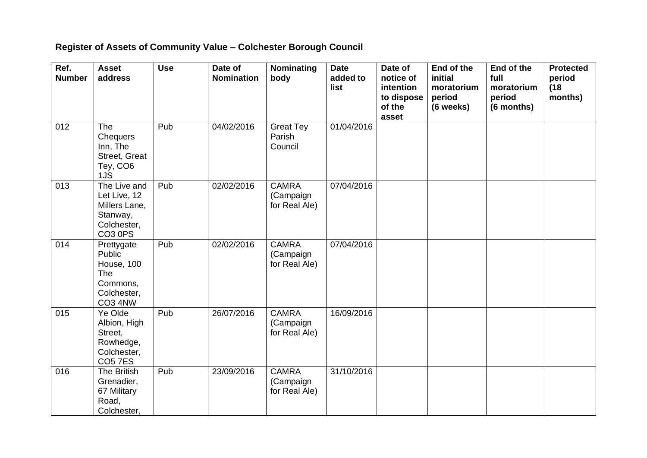## **Register of Assets of Community Value – Colchester Borough Council**

| Ref.<br><b>Number</b> | <b>Asset</b><br>address                                                                         | <b>Use</b> | Date of<br><b>Nomination</b> | Nominating<br>body                         | <b>Date</b><br>added to<br>list | Date of<br>notice of<br>intention<br>to dispose<br>of the<br>asset | End of the<br>initial<br>moratorium<br>period<br>(6 weeks) | End of the<br>full<br>moratorium<br>period<br>(6 months) | <b>Protected</b><br>period<br>(18)<br>months) |
|-----------------------|-------------------------------------------------------------------------------------------------|------------|------------------------------|--------------------------------------------|---------------------------------|--------------------------------------------------------------------|------------------------------------------------------------|----------------------------------------------------------|-----------------------------------------------|
| 012                   | The<br>Chequers<br>Inn, The<br>Street, Great<br>Tey, CO6<br>1JS                                 | Pub        | 04/02/2016                   | <b>Great Tey</b><br>Parish<br>Council      | 01/04/2016                      |                                                                    |                                                            |                                                          |                                               |
| 013                   | The Live and<br>Let Live, 12<br>Millers Lane,<br>Stanway,<br>Colchester,<br>CO <sub>3</sub> 0PS | Pub        | 02/02/2016                   | <b>CAMRA</b><br>(Campaign<br>for Real Ale) | 07/04/2016                      |                                                                    |                                                            |                                                          |                                               |
| 014                   | Prettygate<br><b>Public</b><br>House, 100<br>The<br>Commons,<br>Colchester,<br>CO3 4NW          | Pub        | 02/02/2016                   | <b>CAMRA</b><br>(Campaign<br>for Real Ale) | 07/04/2016                      |                                                                    |                                                            |                                                          |                                               |
| 015                   | Ye Olde<br>Albion, High<br>Street,<br>Rowhedge,<br>Colchester,<br><b>CO57ES</b>                 | Pub        | 26/07/2016                   | <b>CAMRA</b><br>(Campaign<br>for Real Ale) | 16/09/2016                      |                                                                    |                                                            |                                                          |                                               |
| 016                   | The British<br>Grenadier,<br>67 Military<br>Road,<br>Colchester,                                | Pub        | 23/09/2016                   | <b>CAMRA</b><br>(Campaign<br>for Real Ale) | 31/10/2016                      |                                                                    |                                                            |                                                          |                                               |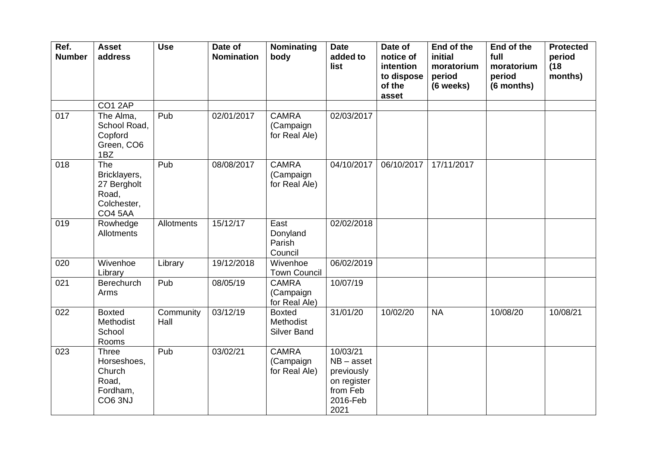| Ref.<br><b>Number</b> | <b>Asset</b><br>address                                                      | <b>Use</b>        | Date of<br><b>Nomination</b> | Nominating<br>body                         | <b>Date</b><br>added to<br>list                                                       | Date of<br>notice of<br>intention<br>to dispose<br>of the<br>asset | End of the<br>initial<br>moratorium<br>period<br>(6 weeks) | End of the<br>full<br>moratorium<br>period<br>(6 months) | <b>Protected</b><br>period<br>(18)<br>months) |
|-----------------------|------------------------------------------------------------------------------|-------------------|------------------------------|--------------------------------------------|---------------------------------------------------------------------------------------|--------------------------------------------------------------------|------------------------------------------------------------|----------------------------------------------------------|-----------------------------------------------|
| 017                   | CO1 2AP<br>The Alma,                                                         | Pub               | 02/01/2017                   | <b>CAMRA</b>                               | 02/03/2017                                                                            |                                                                    |                                                            |                                                          |                                               |
|                       | School Road,<br>Copford<br>Green, CO6<br>1BZ                                 |                   |                              | (Campaign<br>for Real Ale)                 |                                                                                       |                                                                    |                                                            |                                                          |                                               |
| 018                   | The<br>Bricklayers,<br>27 Bergholt<br>Road,<br>Colchester,<br><b>CO4 5AA</b> | Pub               | 08/08/2017                   | <b>CAMRA</b><br>(Campaign<br>for Real Ale) | 04/10/2017                                                                            | 06/10/2017                                                         | 17/11/2017                                                 |                                                          |                                               |
| 019                   | Rowhedge<br>Allotments                                                       | Allotments        | 15/12/17                     | East<br>Donyland<br>Parish<br>Council      | 02/02/2018                                                                            |                                                                    |                                                            |                                                          |                                               |
| 020                   | Wivenhoe<br>Library                                                          | Library           | 19/12/2018                   | Wivenhoe<br><b>Town Council</b>            | 06/02/2019                                                                            |                                                                    |                                                            |                                                          |                                               |
| 021                   | <b>Berechurch</b><br>Arms                                                    | Pub               | 08/05/19                     | <b>CAMRA</b><br>(Campaign<br>for Real Ale) | 10/07/19                                                                              |                                                                    |                                                            |                                                          |                                               |
| 022                   | <b>Boxted</b><br>Methodist<br>School<br>Rooms                                | Community<br>Hall | 03/12/19                     | <b>Boxted</b><br>Methodist<br>Silver Band  | 31/01/20                                                                              | 10/02/20                                                           | <b>NA</b>                                                  | 10/08/20                                                 | 10/08/21                                      |
| 023                   | <b>Three</b><br>Horseshoes,<br>Church<br>Road,<br>Fordham,<br>CO6 3NJ        | Pub               | 03/02/21                     | <b>CAMRA</b><br>(Campaign<br>for Real Ale) | 10/03/21<br>$NB - asset$<br>previously<br>on register<br>from Feb<br>2016-Feb<br>2021 |                                                                    |                                                            |                                                          |                                               |